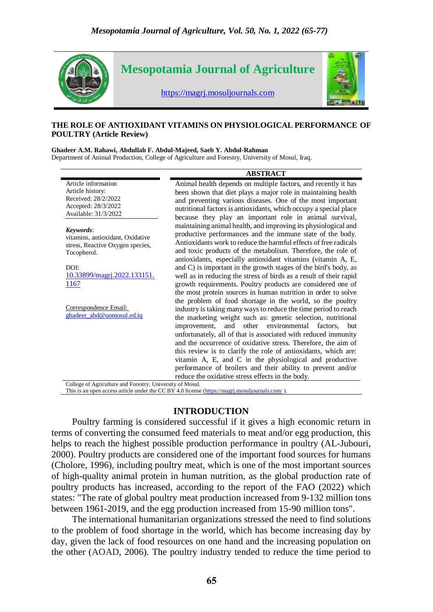

#### **THE ROLE OF ANTIOXIDANT VITAMINS ON PHYSIOLOGICAL PERFORMANCE OF POULTRY (Article Review)**

**Ghadeer A.M. Rahawi, Abdullah F. Abdul-Majeed, Saeb Y. Abdul-Rahman**

Department of Animal Production, College of Agriculture and Forestry, University of Mosul, Iraq.

| Article information<br>Article history:<br>Received: 28/2/2022<br>Accepted: 28/3/2022<br>Available: 31/3/2022<br>because they play an important role in animal survival,<br>Keywords:<br>vitamins, antioxidant, Oxidative<br>stress, Reactive Oxygen species,<br>Tocopherol.<br>antioxidants, especially antioxidant vitamins (vitamin A, E,<br>DOI:<br>10.33899/magri.2022.133151.<br><u> 1167</u><br>the most protein sources in human nutrition in order to solve | <b>ABSTRACT</b>                                                                                                                                                                                                                                                       |
|----------------------------------------------------------------------------------------------------------------------------------------------------------------------------------------------------------------------------------------------------------------------------------------------------------------------------------------------------------------------------------------------------------------------------------------------------------------------|-----------------------------------------------------------------------------------------------------------------------------------------------------------------------------------------------------------------------------------------------------------------------|
|                                                                                                                                                                                                                                                                                                                                                                                                                                                                      | Animal health depends on multiple factors, and recently it has<br>been shown that diet plays a major role in maintaining health<br>and preventing various diseases. One of the most important<br>nutritional factors is antioxidants, which occupy a special place    |
|                                                                                                                                                                                                                                                                                                                                                                                                                                                                      | maintaining animal health, and improving its physiological and<br>productive performances and the immune state of the body.<br>Antioxidants work to reduce the harmful effects of free radicals<br>and toxic products of the metabolism. Therefore, the role of       |
|                                                                                                                                                                                                                                                                                                                                                                                                                                                                      | and C) is important in the growth stages of the bird's body, as<br>well as in reducing the stress of birds as a result of their rapid<br>growth requirements. Poultry products are considered one of                                                                  |
| Correspondence Email:<br>ghadeer_abd@uomosul.ed.iq<br>other environmental factors,<br>improvement,<br>and                                                                                                                                                                                                                                                                                                                                                            | the problem of food shortage in the world, so the poultry<br>industry is taking many ways to reduce the time period to reach<br>the marketing weight such as: genetic selection, nutritional<br>but<br>unfortunately, all of that is associated with reduced immunity |
|                                                                                                                                                                                                                                                                                                                                                                                                                                                                      | and the occurrence of oxidative stress. Therefore, the aim of<br>this review is to clarify the role of antioxidants, which are:<br>vitamin A, E, and C in the physiological and productive<br>performance of broilers and their ability to prevent and/or             |
| reduce the oxidative stress effects in the body.<br>College of Agriculture and Forestry, University of Mosul.                                                                                                                                                                                                                                                                                                                                                        |                                                                                                                                                                                                                                                                       |

This is an open access article under the CC BY 4.0 license (https://magri.mosuljournals.com/).

### **INTRODUCTION**

Poultry farming is considered successful if it gives a high economic return in terms of converting the consumed feed materials to meat and/or egg production, this helps to reach the highest possible production performance in poultry (AL-Jubouri, 2000). Poultry products are considered one of the important food sources for humans (Cholore, 1996), including poultry meat, which is one of the most important sources of high-quality animal protein in human nutrition, as the global production rate of poultry products has increased, according to the report of the FAO (2022) which states: "The rate of global poultry meat production increased from 9-132 million tons between 1961-2019, and the egg production increased from 15-90 million tons".

The international humanitarian organizations stressed the need to find solutions to the problem of food shortage in the world, which has become increasing day by day, given the lack of food resources on one hand and the increasing population on the other (AOAD, 2006). The poultry industry tended to reduce the time period to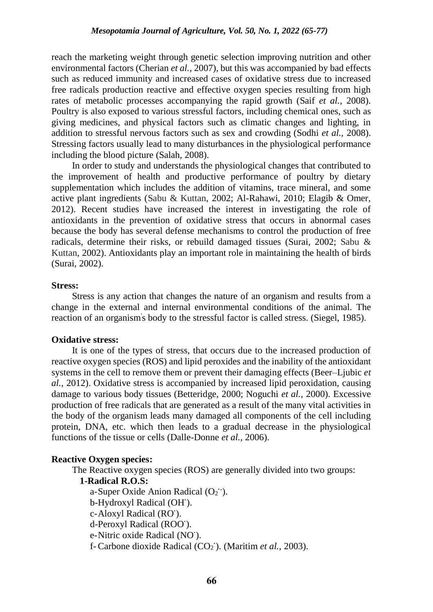reach the marketing weight through genetic selection improving nutrition and other environmental factors (Cherian *et al.,* 2007), but this was accompanied by bad effects such as reduced immunity and increased cases of oxidative stress due to increased free radicals production reactive and effective oxygen species resulting from high rates of metabolic processes accompanying the rapid growth (Saif *et al.,* 2008). Poultry is also exposed to various stressful factors, including chemical ones, such as giving medicines, and physical factors such as climatic changes and lighting, in addition to stressful nervous factors such as sex and crowding (Sodhi *et al.,* 2008). Stressing factors usually lead to many disturbances in the physiological performance including the blood picture (Salah, 2008).

In order to study and understands the physiological changes that contributed to the improvement of health and productive performance of poultry by dietary supplementation which includes the addition of vitamins, trace mineral, and some active plant ingredients (Sabu & Kuttan, 2002; Al-Rahawi, 2010; Elagib & Omer, 2012). Recent studies have increased the interest in investigating the role of antioxidants in the prevention of oxidative stress that occurs in abnormal cases because the body has several defense mechanisms to control the production of free radicals, determine their risks, or rebuild damaged tissues (Surai, 2002; Sabu & Kuttan, 2002). Antioxidants play an important role in maintaining the health of birds (Surai, 2002).

#### **Stress:**

Stress is any action that changes the nature of an organism and results from a change in the external and internal environmental conditions of the animal. The reaction of an organism' s body to the stressful factor is called stress. (Siegel, 1985).

## **Oxidative stress:**

It is one of the types of stress, that occurs due to the increased production of reactive oxygen species (ROS) and lipid peroxides and the inability of the antioxidant systems in the cell to remove them or prevent their damaging effects (Beer–Ljubic *et al.*, 2012). Oxidative stress is accompanied by increased lipid peroxidation, causing damage to various body tissues (Betteridge, 2000; Noguchi *et al.,* 2000). Excessive production of free radicals that are generated as a result of the many vital activities in the body of the organism leads many damaged all components of the cell including protein, DNA, etc. which then leads to a gradual decrease in the physiological functions of the tissue or cells (Dalle-Donne *et al.,* 2006).

## **Reactive Oxygen species:**

The Reactive oxygen species (ROS) are generally divided into two groups:

### **1-Radical R.O.S:**

a-Super Oxide Anion Radical (O<sub>2</sub><sup>-</sup>). b-Hydroxyl Radical (OH**·** ). c-Aloxyl Radical (RO**·** ). d-Peroxyl Radical (ROO**·** ). e-Nitric oxide Radical (NO**·** ).

f- Carbone dioxide Radical (CO<sub>2</sub><sup>\*</sup>). (Maritim *et al.*, 2003).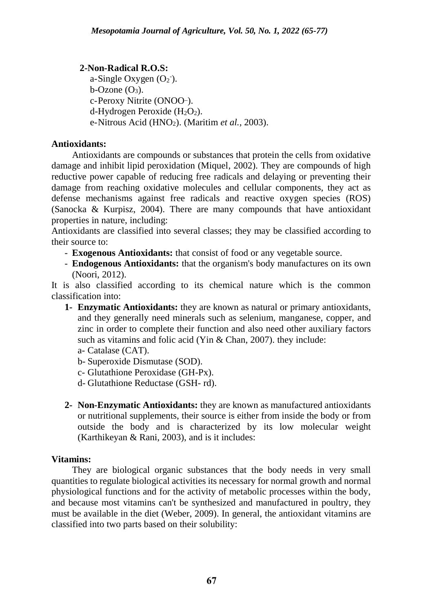## **2-Non-Radical R.O.S:**

 $a$ -Single Oxygen  $(O_2^-)$ .  $b$ -Ozone  $(O_3)$ . c-Peroxy Nitrite (ONOO-). d-Hydrogen Peroxide  $(H_2O_2)$ . e-Nitrous Acid (HNO2). (Maritim *et al.,* 2003).

# **Antioxidants:**

Antioxidants are compounds or substances that protein the cells from oxidative damage and inhibit lipid peroxidation (Miquel, 2002). They are compounds of high reductive power capable of reducing free radicals and delaying or preventing their damage from reaching oxidative molecules and cellular components, they act as defense mechanisms against free radicals and reactive oxygen species (ROS) (Sanocka & Kurpisz, 2004). There are many compounds that have antioxidant properties in nature, including:

Antioxidants are classified into several classes; they may be classified according to their source to:

- **Exogenous Antioxidants:** that consist of food or any vegetable source.
- **Endogenous Antioxidants:** that the organism's body manufactures on its own (Noori, 2012).

It is also classified according to its chemical nature which is the common classification into:

- **1- Enzymatic Antioxidants:** they are known as natural or primary antioxidants, and they generally need minerals such as selenium, manganese, copper, and zinc in order to complete their function and also need other auxiliary factors such as vitamins and folic acid (Yin & Chan, 2007). they include:
	- a- Catalase (CAT).
	- b- Superoxide Dismutase (SOD).
	- c- Glutathione Peroxidase (GH-Px).
	- d- Glutathione Reductase (GSH- rd).
- **2- Non-Enzymatic Antioxidants:** they are known as manufactured antioxidants or nutritional supplements, their source is either from inside the body or from outside the body and is characterized by its low molecular weight (Karthikeyan & Rani, 2003), and is it includes:

## **Vitamins:**

They are biological organic substances that the body needs in very small quantities to regulate biological activities its necessary for normal growth and normal physiological functions and for the activity of metabolic processes within the body, and because most vitamins can't be synthesized and manufactured in poultry, they must be available in the diet (Weber, 2009). In general, the antioxidant vitamins are classified into two parts based on their solubility: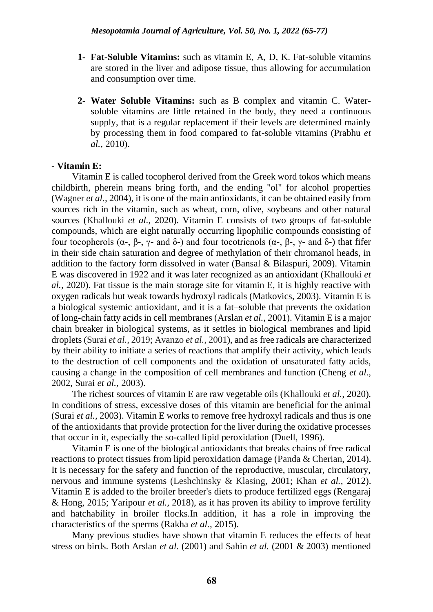- **1- Fat-Soluble Vitamins:** such as vitamin E, A, D, K. Fat-soluble vitamins are stored in the liver and adipose tissue, thus allowing for accumulation and consumption over time.
- **2- Water Soluble Vitamins:** such as B complex and vitamin C. Watersoluble vitamins are little retained in the body, they need a continuous supply, that is a regular replacement if their levels are determined mainly by processing them in food compared to fat-soluble vitamins (Prabhu *et al.,* 2010).

## **- Vitamin E:**

Vitamin E is called tocopherol derived from the Greek word tokos which means childbirth, pherein means bring forth, and the ending "ol" for alcohol properties (Wagner *et al.,* 2004), it is one of the main antioxidants, it can be obtained easily from sources rich in the vitamin, such as wheat, corn, olive, soybeans and other natural sources (Khallouki *et al.,* 2020). Vitamin E consists of two groups of fat-soluble compounds, which are eight naturally occurring lipophilic compounds consisting of four tocopherols (α-, β-, γ- and δ-) and four tocotrienols (α-, β-, γ- and δ-) that fifer in their side chain saturation and degree of methylation of their chromanol heads, in addition to the factory form dissolved in water (Bansal & Bilaspuri, 2009). Vitamin E was discovered in 1922 and it was later recognized as an antioxidant (Khallouki *et al.,* 2020). Fat tissue is the main storage site for vitamin E, it is highly reactive with oxygen radicals but weak towards hydroxyl radicals (Matkovics, 2003). Vitamin E is a biological systemic antioxidant, and it is a fat–soluble that prevents the oxidation of long-chain fatty acids in cell membranes (Arslan *et al.,* 2001). Vitamin E is a major chain breaker in biological systems, as it settles in biological membranes and lipid droplets (Surai *et al.,* 2019; Avanzo *et al.,* 2001), and as free radicals are characterized by their ability to initiate a series of reactions that amplify their activity, which leads to the destruction of cell components and the oxidation of unsaturated fatty acids, causing a change in the composition of cell membranes and function (Cheng *et al.,* 2002, Surai *et al.,* 2003).

The richest sources of vitamin E are raw vegetable oils (Khallouki *et al.,* 2020). In conditions of stress, excessive doses of this vitamin are beneficial for the animal (Surai *et al.,* 2003). Vitamin E works to remove free hydroxyl radicals and thus is one of the antioxidants that provide protection for the liver during the oxidative processes that occur in it, especially the so-called lipid peroxidation (Duell, 1996).

Vitamin E is one of the biological antioxidants that breaks chains of free radical reactions to protect tissues from lipid peroxidation damage (Panda & Cherian, 2014). It is necessary for the safety and function of the reproductive, muscular, circulatory, nervous and immune systems (Leshchinsky & Klasing, 2001; Khan *et al.,* 2012). Vitamin E is added to the broiler breeder's diets to produce fertilized eggs (Rengaraj & Hong, 2015; Yaripour *et al.,* 2018), as it has proven its ability to improve fertility and hatchability in broiler flocks.In addition, it has a role in improving the characteristics of the sperms (Rakha *et al.,* 2015).

Many previous studies have shown that vitamin E reduces the effects of heat stress on birds. Both Arslan *et al.* (2001) and Sahin *et al.* (2001 & 2003) mentioned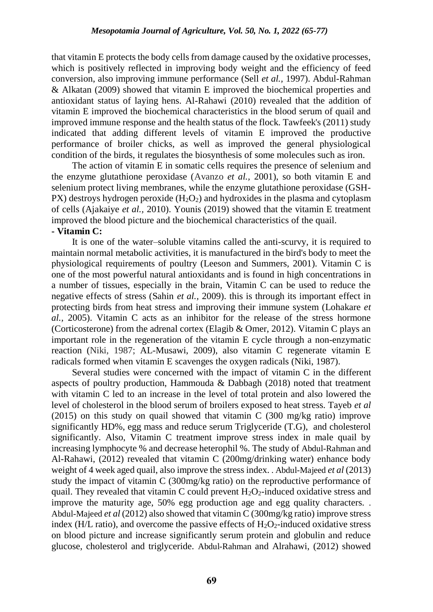that vitamin E protects the body cells from damage caused by the oxidative processes, which is positively reflected in improving body weight and the efficiency of feed conversion, also improving immune performance (Sell *et al.,* 1997). Abdul-Rahman & Alkatan (2009) showed that vitamin E improved the biochemical properties and antioxidant status of laying hens. Al-Rahawi (2010) revealed that the addition of vitamin E improved the biochemical characteristics in the blood serum of quail and improved immune response and the health status of the flock. Tawfeek's (2011) study indicated that adding different levels of vitamin E improved the productive performance of broiler chicks, as well as improved the general physiological condition of the birds, it regulates the biosynthesis of some molecules such as iron.

The action of vitamin E in somatic cells requires the presence of selenium and the enzyme glutathione peroxidase (Avanzo *et al.,* 2001), so both vitamin E and selenium protect living membranes, while the enzyme glutathione peroxidase (GSH-PX) destroys hydrogen peroxide  $(H_2O_2)$  and hydroxides in the plasma and cytoplasm of cells (Ajakaiye *et al.,* 2010). Younis (2019) showed that the vitamin E treatment improved the blood picture and the biochemical characteristics of the quail.

### **- Vitamin C:**

It is one of the water–soluble vitamins called the anti-scurvy, it is required to maintain normal metabolic activities, it is manufactured in the bird's body to meet the physiological requirements of poultry (Leeson and Summers, 2001). Vitamin C is one of the most powerful natural antioxidants and is found in high concentrations in a number of tissues, especially in the brain, Vitamin C can be used to reduce the negative effects of stress (Sahin *et al.,* 2009). this is through its important effect in protecting birds from heat stress and improving their immune system (Lohakare *et al.,* 2005). Vitamin C acts as an inhibitor for the release of the stress hormone (Corticosterone) from the adrenal cortex (Elagib & Omer, 2012). Vitamin C plays an important role in the regeneration of the vitamin E cycle through a non-enzymatic reaction (Niki, 1987; AL-Musawi, 2009), also vitamin C regenerate vitamin E radicals formed when vitamin E scavenges the oxygen radicals (Niki, 1987).

Several studies were concerned with the impact of vitamin C in the different aspects of poultry production, Hammouda & Dabbagh (2018) noted that treatment with vitamin C led to an increase in the level of total protein and also lowered the level of cholesterol in the blood serum of broilers exposed to heat stress. Tayeb *et al*  (2015) on this study on quail showed that vitamin C (300 mg/kg ratio) improve significantly HD%, egg mass and reduce serum Triglyceride (T.G), and cholesterol significantly. Also, Vitamin C treatment improve stress index in male quail by increasing lymphocyte % and decrease heterophil %. The study of Abdul-Rahman and Al-Rahawi, (2012) revealed that vitamin C (200mg/drinking water) enhance body weight of 4 week aged quail, also improve the stress index. . Abdul-Majeed *et al* (2013) study the impact of vitamin C (300mg/kg ratio) on the reproductive performance of quail. They revealed that vitamin C could prevent  $H_2O_2$ -induced oxidative stress and improve the maturity age, 50% egg production age and egg quality characters. . Abdul-Majeed *et al* (2012) also showed that vitamin C (300mg/kg ratio) improve stress index (H/L ratio), and overcome the passive effects of  $H_2O_2$ -induced oxidative stress on blood picture and increase significantly serum protein and globulin and reduce glucose, cholesterol and triglyceride. Abdul-Rahman and Alrahawi, (2012) showed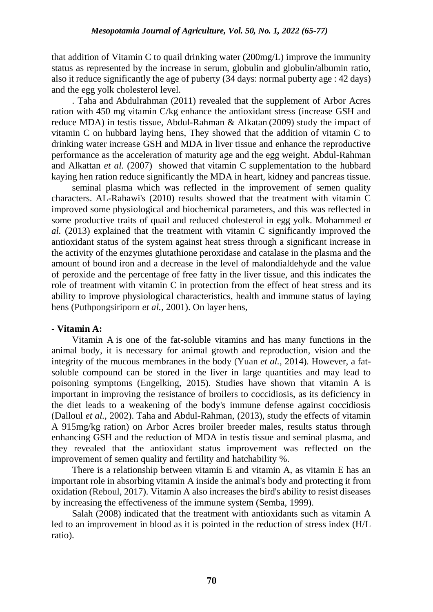that addition of Vitamin C to quail drinking water (200mg/L) improve the immunity status as represented by the increase in serum, globulin and globulin/albumin ratio, also it reduce significantly the age of puberty (34 days: normal puberty age : 42 days) and the egg yolk cholesterol level.

. Taha and Abdulrahman (2011) revealed that the supplement of Arbor Acres ration with 450 mg vitamin C/kg enhance the antioxidant stress (increase GSH and reduce MDA) in testis tissue, Abdul-Rahman & Alkatan (2009) study the impact of vitamin C on hubbard laying hens, They showed that the addition of vitamin C to drinking water increase GSH and MDA in liver tissue and enhance the reproductive performance as the acceleration of maturity age and the egg weight. Abdul-Rahman and Alkattan *et al.* (2007) showed that vitamin C supplementation to the hubbard kaying hen ration reduce significantly the MDA in heart, kidney and pancreas tissue.

seminal plasma which was reflected in the improvement of semen quality characters. AL-Rahawi's (2010) results showed that the treatment with vitamin C improved some physiological and biochemical parameters, and this was reflected in some productive traits of quail and reduced cholesterol in egg yolk. Mohammed *et al.* (2013) explained that the treatment with vitamin C significantly improved the antioxidant status of the system against heat stress through a significant increase in the activity of the enzymes glutathione peroxidase and catalase in the plasma and the amount of bound iron and a decrease in the level of malondialdehyde and the value of peroxide and the percentage of free fatty in the liver tissue, and this indicates the role of treatment with vitamin C in protection from the effect of heat stress and its ability to improve physiological characteristics, health and immune status of laying hens (Puthpongsiriporn *et al.,* 2001). On layer hens,

## **- Vitamin A:**

Vitamin A is one of the fat-soluble vitamins and has many functions in the animal body, it is necessary for animal growth and reproduction, vision and the integrity of the mucous membranes in the body (Yuan *et al.,* 2014). However, a fatsoluble compound can be stored in the liver in large quantities and may lead to poisoning symptoms (Engelking, 2015). Studies have shown that vitamin A is important in improving the resistance of broilers to coccidiosis, as its deficiency in the diet leads to a weakening of the body's immune defense against coccidiosis (Dalloul *et al.,* 2002). Taha and Abdul-Rahman, (2013), study the effects of vitamin A 915mg/kg ration) on Arbor Acres broiler breeder males, results status through enhancing GSH and the reduction of MDA in testis tissue and seminal plasma, and they revealed that the antioxidant status improvement was reflected on the improvement of semen quality and fertility and hatchability %.

There is a relationship between vitamin E and vitamin A, as vitamin E has an important role in absorbing vitamin A inside the animal's body and protecting it from oxidation (Reboul, 2017). Vitamin A also increases the bird's ability to resist diseases by increasing the effectiveness of the immune system (Semba, 1999).

Salah (2008) indicated that the treatment with antioxidants such as vitamin A led to an improvement in blood as it is pointed in the reduction of stress index (H/L ratio).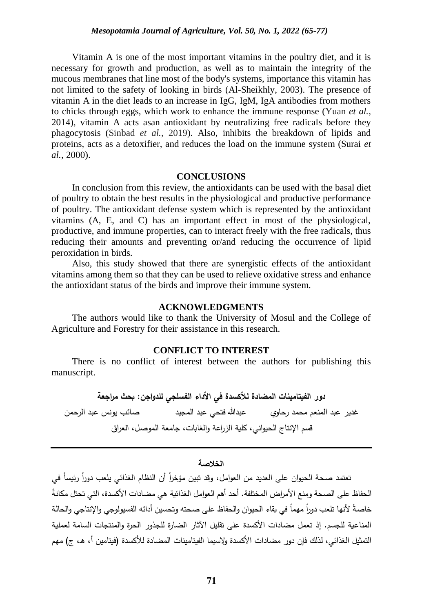Vitamin A is one of the most important vitamins in the poultry diet, and it is necessary for growth and production, as well as to maintain the integrity of the mucous membranes that line most of the body's systems, importance this vitamin has not limited to the safety of looking in birds (Al-Sheikhly, 2003). The presence of vitamin A in the diet leads to an increase in IgG, IgM, IgA antibodies from mothers to chicks through eggs, which work to enhance the immune response (Yuan *et al.,* 2014), vitamin A acts asan antioxidant by neutralizing free radicals before they phagocytosis (Sinbad *et al.,* 2019). Also, inhibits the breakdown of lipids and proteins, acts as a detoxifier, and reduces the load on the immune system (Surai *et al.,* 2000).

#### **CONCLUSIONS**

In conclusion from this review, the antioxidants can be used with the basal diet of poultry to obtain the best results in the physiological and productive performance of poultry. The antioxidant defense system which is represented by the antioxidant vitamins (A, E, and C) has an important effect in most of the physiological, productive, and immune properties, can to interact freely with the free radicals, thus reducing their amounts and preventing or/and reducing the occurrence of lipid peroxidation in birds.

Also, this study showed that there are synergistic effects of the antioxidant vitamins among them so that they can be used to relieve oxidative stress and enhance the antioxidant status of the birds and improve their immune system.

### **ACKNOWLEDGMENTS**

The authors would like to thank the University of Mosul and the College of Agriculture and Forestry for their assistance in this research.

## **CONFLICT TO INTEREST**

There is no conflict of interest between the authors for publishing this manuscript.

**دور الفيتامينات المضادة لألكسدة في األداء الفسلجي للدواجن: بحث مراجعة** غدير عبد المنعم محمد رحاوي عبدهللا فتحي عبد المجيد صائب يونس عبد الرحمن قسم اإلنتاج الحيواني، كلية الزراعة والغابات، جامعة الموصل، العراق

#### **الخالصة**

تعتمد صحة الحيوان على العديد من العوامل، وقد تبين مؤخرا أن النظام الغذائي يلعب دورا رئيسا في الحفاظ على الصحة ومنع الأمراض المختلفة. أحد أهم العوامل الغذائية هي مضادات الأكسدة، التي تحتل مكانة خاصةً لأنها تلعب دوراً مهما في بقاء الحيوان والحفاظ على صحته وتحسين أدائه الفسيولوجي والإنتاجي والحالة المناعية للجسم. إذ تعمل مضادات األكسدة على تقليل اآلثار الضارة للجذور الحرة والمنتجات السامة لعملية التمثيل الغذائي، لذلك فإن دور مضادات الأكسدة ولاسيما الفيتامينات المضادة للأكسدة (فيتامين أ، هـ، ج) مهم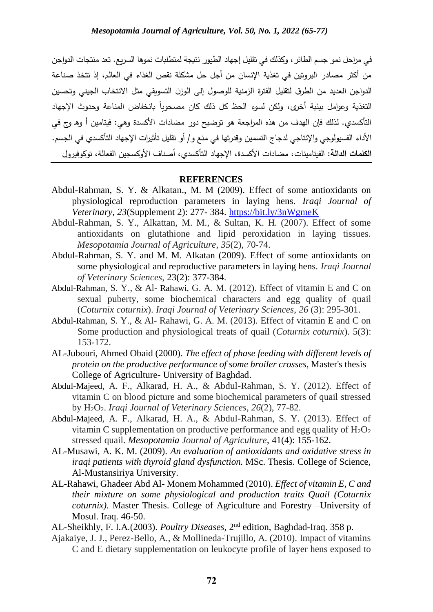في مراحل نمو جسم الطائر، وكذلك في تقليل إجهاد الطيور نتيجة لمتطلبات نموها السريع. تعد منتجات الدواجن من أكثر مصادر البروتين في تغذية اإلنسان من أجل حل مشكلة نقص الغذاء في العالم، إذ تتخذ صناعة الدواجن العديد من الطرق لتقليل الفترة الزمنية للوصول إلى الوزن التسويقي مثل االنتخاب الجيني و تحسين التغذية وعوامل بيئية أخرى، ولكن لسوء الحظ كل ذلك كان مصحوبا بانخفاض المناعة وحدوث الإجهاد التأكسدي. لذلك فإن الهدف من هذه المراجعة هو توضيح دور مضادات الأكسدة وهي: فيتامين أ وهـ وج في األداء الفسيولوجي واإلنتاجي لدجاج التسمين وقدرتها في منع و/ أو تقليل تأثيرات اإلجهاد التأكسدي في الجسم. ا**لكلمات الدالة:** الفيتامينات، مضادات الأكسدة، الإجهاد التأكسدي، أصناف الأوكسجين الفعالة، توكوفيرول

#### **REFERENCES**

- Abdul-Rahman, S. Y. & Alkatan., M. M (2009). Effect of some antioxidants on physiological reproduction parameters in laying hens. *Iraqi Journal of Veterinary, 23*(Supplement 2): 277- 384.<https://bit.ly/3nWgmeK>
- Abdul-Rahman, S. Y., Alkattan, M. M., & Sultan, K. H. (2007). Effect of some antioxidants on glutathione and lipid peroxidation in laying tissues. *Mesopotamia Journal of Agriculture*, *35*(2), 70-74.
- Abdul-Rahman, S. Y. and M. M. Alkatan (2009). Effect of some antioxidants on some physiological and reproductive parameters in laying hens. *Iraqi Journal of Veterinary Sciences*, 23(2): 377-384.
- Abdul-Rahman, S. Y., & Al- Rahawi, G. A. M. (2012). Effect of vitamin E and C on sexual puberty, some biochemical characters and egg quality of quail (*Coturnix coturnix*). *Iraqi Journal of Veterinary Sciences*, *26* (3): 295-301.
- Abdul-Rahman, S. Y., & Al- Rahawi, G. A. M. (2013). Effect of vitamin E and C on Some production and physiological treats of quail (*Coturnix coturnix*). 5(3): 153-172.
- AL-Jubouri, Ahmed Obaid (2000). *The effect of phase feeding with different levels of protein on the productive performance of some broiler crosses*, Master's thesis– College of Agriculture- University of Baghdad.
- Abdul-Majeed, A. F., Alkarad, H. A., & Abdul-Rahman, S. Y. (2012). Effect of vitamin C on blood picture and some biochemical parameters of quail stressed by H2O2. *Iraqi Journal of Veterinary Sciences*, *26*(2), 77-82.
- Abdul-Majeed, A. F., Alkarad, H. A., & Abdul-Rahman, S. Y. (2013). Effect of vitamin C supplementation on productive performance and egg quality of  $H_2O_2$ stressed quail. *Mesopotamia Journal of Agriculture*, 41(4): 155-162.
- AL-Musawi, A. K. M. (2009). *An evaluation of antioxidants and oxidative stress in iraqi patients with thyroid gland dysfunction.* MSc. Thesis. College of Science, Al-Mustansiriya University.
- AL-Rahawi, Ghadeer Abd Al- Monem Mohammed (2010). *Effect of vitamin E, C and their mixture on some physiological and production traits Quail (Coturnix coturnix).* Master Thesis. College of Agriculture and Forestry –University of Mosul. Iraq. 46-50.

AL-Sheikhly, F. I.A.(2003). *Poultry Diseases*, 2nd edition, Baghdad-Iraq. 358 p.

Ajakaiye, J. J., Perez-Bello, A., & Mollineda-Trujillo, A. (2010). Impact of vitamins C and E dietary supplementation on leukocyte profile of layer hens exposed to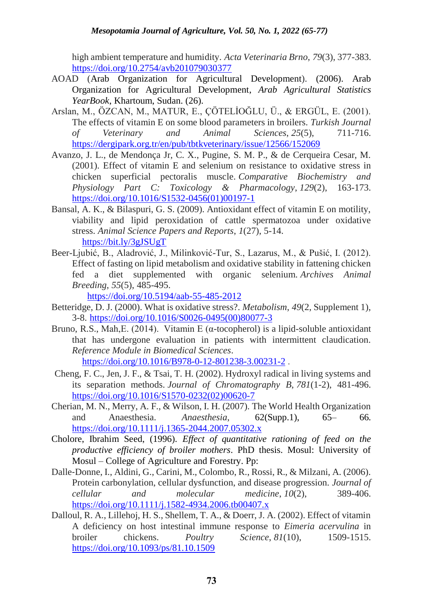high ambient temperature and humidity. *Acta Veterinaria Brno*, *79*(3), 377-383. <https://doi.org/10.2754/avb201079030377>

- AOAD (Arab Organization for Agricultural Development). (2006). Arab Organization for Agricultural Development, *Arab Agricultural Statistics YearBook*, Khartoum, Sudan. (26).
- Arslan, M., ÖZCAN, M., MATUR, E., ÇÖTELİOĞLU, Ü., & ERGÜL, E. (2001). The effects of vitamin E on some blood parameters in broilers. *Turkish Journal of Veterinary and Animal Sciences*, *25*(5), 711-716. <https://dergipark.org.tr/en/pub/tbtkveterinary/issue/12566/152069>
- Avanzo, J. L., de Mendonça Jr, C. X., Pugine, S. M. P., & de Cerqueira Cesar, M. (2001). Effect of vitamin E and selenium on resistance to oxidative stress in chicken superficial pectoralis muscle. *Comparative Biochemistry and Physiology Part C: Toxicology & Pharmacology*, *129*(2), 163-173. [https://doi.org/10.1016/S1532-0456\(01\)00197-1](https://doi.org/10.1016/S1532-0456(01)00197-1)
- Bansal, A. K., & Bilaspuri, G. S. (2009). Antioxidant effect of vitamin E on motility, viability and lipid peroxidation of cattle spermatozoa under oxidative stress. *Animal Science Papers and Reports*, *1*(27), 5-14. <https://bit.ly/3gJSUgT>
- Beer-Ljubić, B., Aladrović, J., Milinković-Tur, S., Lazarus, M., & Pušić, I. (2012). Effect of fasting on lipid metabolism and oxidative stability in fattening chicken fed a diet supplemented with organic selenium. *Archives Animal Breeding*, *55*(5), 485-495.

<https://doi.org/10.5194/aab-55-485-2012>

- Betteridge, D. J. (2000). What is oxidative stress?. *Metabolism*, *49*(2, [Supplement 1\)](https://www.sciencedirect.com/science/journal/00260495/49/2/supp/S1), 3-8. [https://doi.org/10.1016/S0026-0495\(00\)80077-3](https://doi.org/10.1016/S0026-0495(00)80077-3)
- Bruno, R.S., Mah, E. (2014). Vitamin E (α-tocopherol) is a lipid-soluble antioxidant that has undergone evaluation in patients with intermittent claudication. *[Reference Module in Biomedical Sciences](https://www.sciencedirect.com/science/referenceworks/9780128012383)*. <https://doi.org/10.1016/B978-0-12-801238-3.00231-2> .
- Cheng, F. C., Jen, J. F., & Tsai, T. H. (2002). Hydroxyl radical in living systems and its separation methods. *Journal of Chromatography B*, *781*(1-2), 481-496. [https://doi.org/10.1016/S1570-0232\(02\)00620-7](https://doi.org/10.1016/S1570-0232(02)00620-7)
- Cherian, M. N., Merry, A. F., & Wilson, I. H. (2007). The World Health Organization and Anaesthesia. *Anaesthesia*, 62(Supp.1), 65– 66. <https://doi.org/10.1111/j.1365-2044.2007.05302.x>
- Cholore, Ibrahim Seed, (1996). *Effect of quantitative rationing of feed on the productive efficiency of broiler mothers*. PhD thesis. Mosul: University of Mosul – College of Agriculture and Forestry. Pp:
- Dalle‐Donne, I., Aldini, G., Carini, M., Colombo, R., Rossi, R., & Milzani, A. (2006). Protein carbonylation, cellular dysfunction, and disease progression. *Journal of cellular and molecular medicine*, *10*(2), 389-406. <https://doi.org/10.1111/j.1582-4934.2006.tb00407.x>
- Dalloul, R. A., Lillehoj, H. S., Shellem, T. A., & Doerr, J. A. (2002). Effect of vitamin A deficiency on host intestinal immune response to *Eimeria acervulina* in broiler chickens. *Poultry Science*, *81*(10), 1509-1515. <https://doi.org/10.1093/ps/81.10.1509>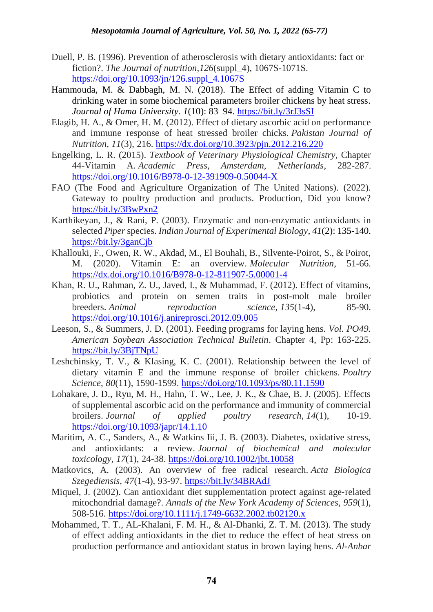- Duell, P. B. (1996). Prevention of atherosclerosis with dietary antioxidants: fact or fiction?. *The Journal of nutrition*,*126*(suppl\_4), 1067S-1071S. [https://doi.org/10.1093/jn/126.suppl\\_4.1067S](https://doi.org/10.1093/jn/126.suppl_4.1067S)
- Hammouda, M. & Dabbagh, M. N. (2018). The Effect of adding Vitamin C to drinking water in some biochemical parameters broiler chickens by heat stress. *Journal of Hama University. 1*(10): 83–94.<https://bit.ly/3rJ3sSI>
- Elagib, H. A., & Omer, H. M. (2012). Effect of dietary ascorbic acid on performance and immune response of heat stressed broiler chicks. *Pakistan Journal of Nutrition*, *11*(3), 216.<https://dx.doi.org/10.3923/pjn.2012.216.220>
- Engelking, L. R. (2015). *Textbook of Veterinary Physiological Chemistry,* Chapter 44-Vitamin A. *Academic Press, Amsterdam, Netherlands*, 282-287. <https://doi.org/10.1016/B978-0-12-391909-0.50044-X>
- FAO (The Food and Agriculture Organization of The United Nations). (2022). Gateway to poultry production and products. Production, Did you know? <https://bit.ly/3BwPxn2>
- Karthikeyan, J., & Rani, P. (2003). Enzymatic and non-enzymatic antioxidants in selected *Piper* species. *Indian Journal of Experimental Biology, 41*(2): 135-140. <https://bit.ly/3ganCjb>
- Khallouki, F., Owen, R. W., Akdad, M., El Bouhali, B., Silvente-Poirot, S., & Poirot, M. (2020). Vitamin E: an overview. *Molecular Nutrition*, 51-66. <https://dx.doi.org/10.1016/B978-0-12-811907-5.00001-4>
- Khan, R. U., Rahman, Z. U., Javed, I., & Muhammad, F. (2012). Effect of vitamins, probiotics and protein on semen traits in post-molt male broiler breeders. *Animal reproduction science*, *135*(1-4), 85-90. <https://doi.org/10.1016/j.anireprosci.2012.09.005>
- Leeson, S., & Summers, J. D. (2001). Feeding programs for laying hens. *Vol. PO49. American Soybean Association Technical Bulletin*. Chapter 4, Pp: 163-225. <https://bit.ly/3BjTNpU>
- Leshchinsky, T. V., & Klasing, K. C. (2001). Relationship between the level of dietary vitamin E and the immune response of broiler chickens. *Poultry Science*, *80*(11), 1590-1599. <https://doi.org/10.1093/ps/80.11.1590>
- Lohakare, J. D., Ryu, M. H., Hahn, T. W., Lee, J. K., & Chae, B. J. (2005). Effects of supplemental ascorbic acid on the performance and immunity of commercial broilers. *Journal of applied poultry research*, *14*(1), 10-19. <https://doi.org/10.1093/japr/14.1.10>
- Maritim, A. C., Sanders, A., & Watkins Iii, J. B. (2003). Diabetes, oxidative stress, and antioxidants: a review. *Journal of biochemical and molecular toxicology*, *17*(1), 24-38. <https://doi.org/10.1002/jbt.10058>
- Matkovics, A. (2003). An overview of free radical research. *Acta Biologica Szegediensis*, *47*(1-4), 93-97. <https://bit.ly/34BRAdJ>
- Miquel, J. (2002). Can antioxidant diet supplementation protect against age-related mitochondrial damage?. *Annals of the New York Academy of Sciences*, *959*(1), 508-516. <https://doi.org/10.1111/j.1749-6632.2002.tb02120.x>
- Mohammed, T. T., AL-Khalani, F. M. H., & Al-Dhanki, Z. T. M. (2013). The study of effect adding antioxidants in the diet to reduce the effect of heat stress on production performance and antioxidant status in brown laying hens. *Al-Anbar*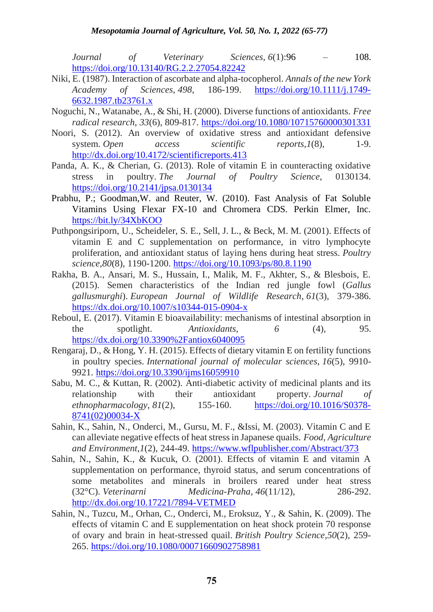*Journal of Veterinary Sciences*, *6*(1):96 – 108. <https://doi.org/10.13140/RG.2.2.27054.82242>

- Niki, E. (1987). Interaction of ascorbate and alpha-tocopherol. *Annals of the new York Academy of Sciences*, *498*, 186-199. [https://doi.org/10.1111/j.1749-](https://doi.org/10.1111/j.1749-6632.1987.tb23761.x) [6632.1987.tb23761.x](https://doi.org/10.1111/j.1749-6632.1987.tb23761.x)
- Noguchi, N., Watanabe, A., & Shi, H. (2000). Diverse functions of antioxidants. *Free radical research*, *33*(6), 809-817. <https://doi.org/10.1080/10715760000301331>
- Noori, S. (2012). An overview of oxidative stress and antioxidant defensive system. *Open* access scientific reports, 1(8), 1-9. <http://dx.doi.org/10.4172/scientificreports.413>
- Panda, A. K., & Cherian, G. (2013). Role of vitamin E in counteracting oxidative stress in poultry. *The Journal of Poultry Science*, 0130134. <https://doi.org/10.2141/jpsa.0130134>
- Prabhu, P.; Goodman,W. and Reuter, W. (2010). Fast Analysis of Fat Soluble Vitamins Using Flexar FX-10 and Chromera CDS. Perkin Elmer, Inc. <https://bit.ly/34XbKOO>
- Puthpongsiriporn, U., Scheideler, S. E., Sell, J. L., & Beck, M. M. (2001). Effects of vitamin E and C supplementation on performance, in vitro lymphocyte proliferation, and antioxidant status of laying hens during heat stress. *Poultry science*,*80*(8), 1190-1200.<https://doi.org/10.1093/ps/80.8.1190>
- Rakha, B. A., Ansari, M. S., Hussain, I., Malik, M. F., Akhter, S., & Blesbois, E. (2015). Semen characteristics of the Indian red jungle fowl (*Gallus gallusmurghi*). *European Journal of Wildlife Research*, *61*(3), 379-386. <https://dx.doi.org/10.1007/s10344-015-0904-x>
- Reboul, E. (2017). Vitamin E bioavailability: mechanisms of intestinal absorption in the spotlight. *Antioxidants*, *6* (4), 95. <https://dx.doi.org/10.3390%2Fantiox6040095>
- Rengaraj, D., & Hong, Y. H. (2015). Effects of dietary vitamin E on fertility functions in poultry species. *International journal of molecular sciences*, *16*(5), 9910- 9921. <https://doi.org/10.3390/ijms16059910>
- Sabu, M. C., & Kuttan, R. (2002). Anti-diabetic activity of medicinal plants and its relationship with their antioxidant property. *Journal of ethnopharmacology*, *81*(2), 155-160. [https://doi.org/10.1016/S0378-](https://doi.org/10.1016/S0378-8741(02)00034-X) [8741\(02\)00034-X](https://doi.org/10.1016/S0378-8741(02)00034-X)
- Sahin, K., Sahin, N., Onderci, M., Gursu, M. F., &Issi, M. (2003). Vitamin C and E can alleviate negative effects of heat stress in Japanese quails. *Food, Agriculture and Environment*,*1*(2), 244-49. <https://www.wflpublisher.com/Abstract/373>
- Sahin, N., Sahin, K., & Kucuk, O. (2001). Effects of vitamin E and vitamin A supplementation on performance, thyroid status, and serum concentrations of some metabolites and minerals in broilers reared under heat stress (32°C). *Veterinarni Medicina-Praha*, *46*(11/12), 286-292. <http://dx.doi.org/10.17221/7894-VETMED>
- Sahin, N., Tuzcu, M., Orhan, C., Onderci, M., Eroksuz, Y., & Sahin, K. (2009). The effects of vitamin C and E supplementation on heat shock protein 70 response of ovary and brain in heat-stressed quail. *British Poultry Science*,*50*(2), 259- 265.<https://doi.org/10.1080/00071660902758981>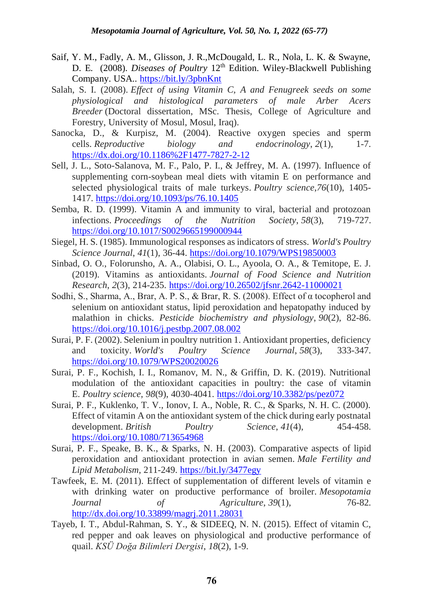- Saif, Y. M., Fadly, A. M., Glisson, J. R.,McDougald, L. R., Nola, L. K. & Swayne, D. E. (2008). *Diseases of Poultry* 12<sup>th</sup> Edition. Wiley-Blackwell Publishing Company. USA.. <https://bit.ly/3pbnKnt>
- Salah, S. I. (2008). *Effect of using Vitamin C, A and Fenugreek seeds on some physiological and histological parameters of male Arber Acers Breeder* (Doctoral dissertation, MSc. Thesis, College of Agriculture and Forestry, University of Mosul, Mosul, Iraq).
- Sanocka, D., & Kurpisz, M. (2004). Reactive oxygen species and sperm cells. *Reproductive biology and endocrinology*, *2*(1), 1-7. <https://dx.doi.org/10.1186%2F1477-7827-2-12>
- Sell, J. L., Soto-Salanova, M. F., Palo, P. I., & Jeffrey, M. A. (1997). Influence of supplementing corn-soybean meal diets with vitamin E on performance and selected physiological traits of male turkeys. *Poultry science*,*76*(10), 1405- 1417.<https://doi.org/10.1093/ps/76.10.1405>
- Semba, R. D. (1999). Vitamin A and immunity to viral, bacterial and protozoan infections. *Proceedings of the Nutrition Society*, *58*(3), 719-727. <https://doi.org/10.1017/S0029665199000944>
- Siegel, H. S. (1985). Immunological responses as indicators of stress. *World's Poultry Science Journal*, *41*(1), 36-44. <https://doi.org/10.1079/WPS19850003>
- Sinbad, O. O., Folorunsho, A. A., Olabisi, O. L., Ayoola, O. A., & Temitope, E. J. (2019). Vitamins as antioxidants. *Journal of Food Science and Nutrition Research*, *2*(3), 214-235. <https://doi.org/10.26502/jfsnr.2642-11000021>
- Sodhi, S., Sharma, A., Brar, A. P. S., & Brar, R. S. (2008). Effect of α tocopherol and selenium on antioxidant status, lipid peroxidation and hepatopathy induced by malathion in chicks. *Pesticide biochemistry and physiology*, *90*(2), 82-86. <https://doi.org/10.1016/j.pestbp.2007.08.002>
- Surai, P. F. (2002). Selenium in poultry nutrition 1. Antioxidant properties, deficiency and toxicity. *World's Poultry Science Journal*, *58*(3), 333-347. <https://doi.org/10.1079/WPS20020026>
- Surai, P. F., Kochish, I. I., Romanov, M. N., & Griffin, D. K. (2019). Nutritional modulation of the antioxidant capacities in poultry: the case of vitamin E. *Poultry science*, *98*(9), 4030-4041. <https://doi.org/10.3382/ps/pez072>
- Surai, P. F., Kuklenko, T. V., Ionov, I. A., Noble, R. C., & Sparks, N. H. C. (2000). Effect of vitamin A on the antioxidant system of the chick during early postnatal development. *British Poultry Science*, *41*(4), 454-458. <https://doi.org/10.1080/713654968>
- Surai, P. F., Speake, B. K., & Sparks, N. H. (2003). Comparative aspects of lipid peroxidation and antioxidant protection in avian semen. *Male Fertility and Lipid Metabolism*, 211-249. <https://bit.ly/3477egy>
- Tawfeek, E. M. (2011). Effect of supplementation of different levels of vitamin e with drinking water on productive performance of broiler. *Mesopotamia Journal of Agriculture*, *39*(1), 76-82. <http://dx.doi.org/10.33899/magrj.2011.28031>
- Tayeb, I. T., Abdul-Rahman, S. Y., & SIDEEQ, N. N. (2015). Effect of vitamin C, red pepper and oak leaves on physiological and productive performance of quail. *KSÜ Doğa Bilimleri Dergisi*, *18*(2), 1-9.